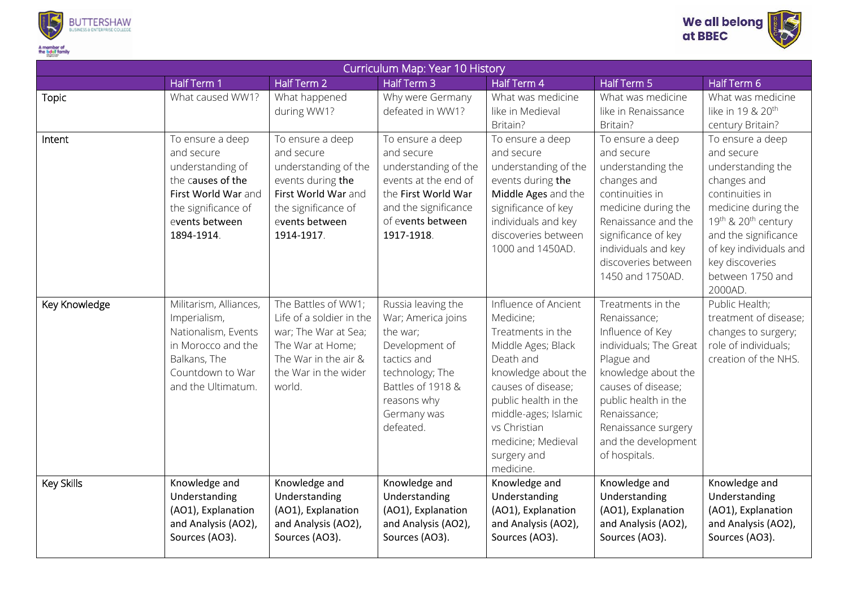



| Curriculum Map: Year 10 History |                                                                                                                                                       |                                                                                                                                                           |                                                                                                                                                                          |                                                                                                                                                                                                                                                          |                                                                                                                                                                                                                                                   |                                                                                                                                                                                                                                         |  |  |  |  |
|---------------------------------|-------------------------------------------------------------------------------------------------------------------------------------------------------|-----------------------------------------------------------------------------------------------------------------------------------------------------------|--------------------------------------------------------------------------------------------------------------------------------------------------------------------------|----------------------------------------------------------------------------------------------------------------------------------------------------------------------------------------------------------------------------------------------------------|---------------------------------------------------------------------------------------------------------------------------------------------------------------------------------------------------------------------------------------------------|-----------------------------------------------------------------------------------------------------------------------------------------------------------------------------------------------------------------------------------------|--|--|--|--|
|                                 | Half Term 1                                                                                                                                           | Half Term 2                                                                                                                                               | Half Term 3                                                                                                                                                              | Half Term 4                                                                                                                                                                                                                                              | Half Term 5                                                                                                                                                                                                                                       | Half Term 6                                                                                                                                                                                                                             |  |  |  |  |
| <b>Topic</b>                    | What caused WW1?                                                                                                                                      | What happened<br>during WW1?                                                                                                                              | Why were Germany<br>defeated in WW1?                                                                                                                                     | What was medicine<br>like in Medieval<br>Britain?                                                                                                                                                                                                        | What was medicine<br>like in Renaissance<br>Britain?                                                                                                                                                                                              | What was medicine<br>like in 19 & 20 <sup>th</sup><br>century Britain?                                                                                                                                                                  |  |  |  |  |
| Intent                          | To ensure a deep<br>and secure<br>understanding of<br>the causes of the<br>First World War and<br>the significance of<br>events between<br>1894-1914. | To ensure a deep<br>and secure<br>understanding of the<br>events during the<br>First World War and<br>the significance of<br>events between<br>1914-1917. | To ensure a deep<br>and secure<br>understanding of the<br>events at the end of<br>the First World War<br>and the significance<br>of events between<br>1917-1918.         | To ensure a deep<br>and secure<br>understanding of the<br>events during the<br>Middle Ages and the<br>significance of key<br>individuals and key<br>discoveries between<br>1000 and 1450AD.                                                              | To ensure a deep<br>and secure<br>understanding the<br>changes and<br>continuities in<br>medicine during the<br>Renaissance and the<br>significance of key<br>individuals and key<br>discoveries between<br>1450 and 1750AD.                      | To ensure a deep<br>and secure<br>understanding the<br>changes and<br>continuities in<br>medicine during the<br>19th & 20th century<br>and the significance<br>of key individuals and<br>key discoveries<br>between 1750 and<br>2000AD. |  |  |  |  |
| Key Knowledge                   | Militarism, Alliances,<br>Imperialism,<br>Nationalism, Events<br>in Morocco and the<br>Balkans, The<br>Countdown to War<br>and the Ultimatum.         | The Battles of WW1;<br>Life of a soldier in the<br>war; The War at Sea;<br>The War at Home;<br>The War in the air &<br>the War in the wider<br>world.     | Russia leaving the<br>War; America joins<br>the war;<br>Development of<br>tactics and<br>technology; The<br>Battles of 1918 &<br>reasons why<br>Germany was<br>defeated. | Influence of Ancient<br>Medicine;<br>Treatments in the<br>Middle Ages; Black<br>Death and<br>knowledge about the<br>causes of disease;<br>public health in the<br>middle-ages; Islamic<br>vs Christian<br>medicine; Medieval<br>surgery and<br>medicine. | Treatments in the<br>Renaissance;<br>Influence of Key<br>individuals; The Great<br>Plague and<br>knowledge about the<br>causes of disease;<br>public health in the<br>Renaissance;<br>Renaissance surgery<br>and the development<br>of hospitals. | Public Health;<br>treatment of disease;<br>changes to surgery;<br>role of individuals;<br>creation of the NHS.                                                                                                                          |  |  |  |  |
| Key Skills                      | Knowledge and<br>Understanding<br>(AO1), Explanation<br>and Analysis (AO2),<br>Sources (AO3).                                                         | Knowledge and<br>Understanding<br>(AO1), Explanation<br>and Analysis (AO2),<br>Sources (AO3).                                                             | Knowledge and<br>Understanding<br>(AO1), Explanation<br>and Analysis (AO2),<br>Sources (AO3).                                                                            | Knowledge and<br>Understanding<br>(AO1), Explanation<br>and Analysis (AO2),<br>Sources (AO3).                                                                                                                                                            | Knowledge and<br>Understanding<br>(AO1), Explanation<br>and Analysis (AO2),<br>Sources (AO3).                                                                                                                                                     | Knowledge and<br>Understanding<br>(AO1), Explanation<br>and Analysis (AO2),<br>Sources (AO3).                                                                                                                                           |  |  |  |  |